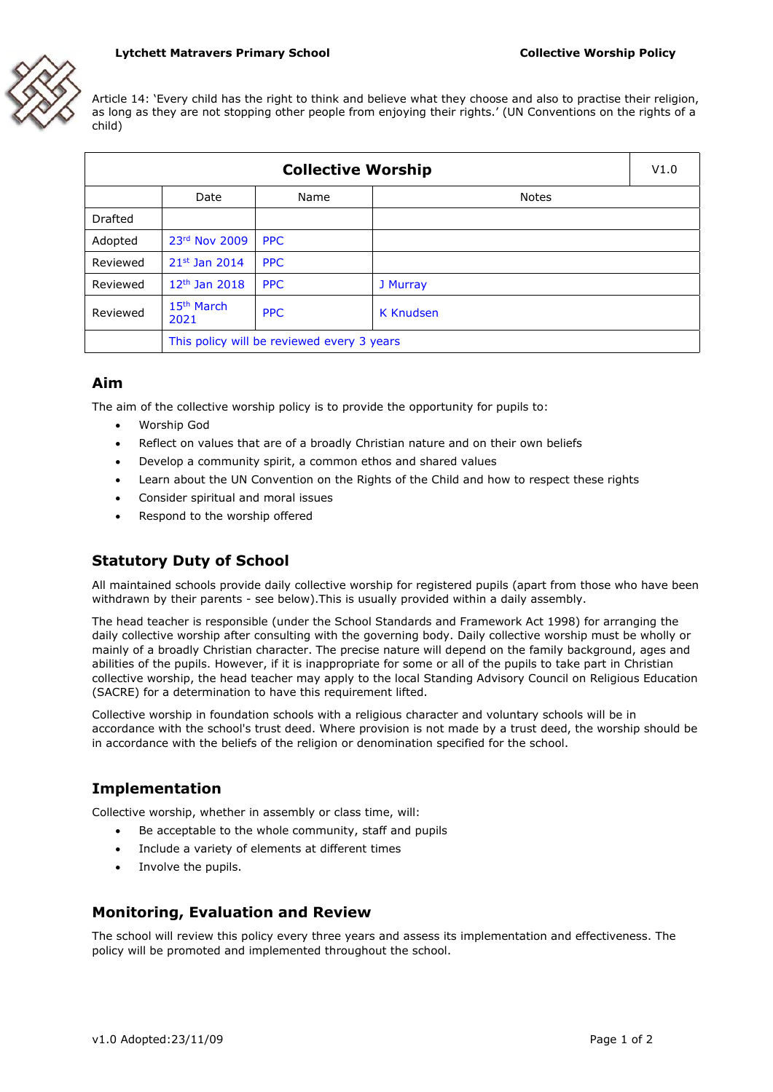#### **Lytchett Matravers Primary School Collective Worship Policy**



Article 14: 'Every child has the right to think and believe what they choose and also to practise their religion, as long as they are not stopping other people from enjoying their rights.' (UN Conventions on the rights of a child)

| <b>Collective Worship</b> |                                            |            |                  | V1.0 |
|---------------------------|--------------------------------------------|------------|------------------|------|
|                           | Date                                       | Name       | <b>Notes</b>     |      |
| Drafted                   |                                            |            |                  |      |
| Adopted                   | 23rd Nov 2009                              | <b>PPC</b> |                  |      |
| Reviewed                  | $21^{st}$ Jan 2014                         | <b>PPC</b> |                  |      |
| Reviewed                  | $12th$ Jan 2018                            | <b>PPC</b> | J Murray         |      |
| Reviewed                  | 15 <sup>th</sup> March<br>2021             | <b>PPC</b> | <b>K</b> Knudsen |      |
|                           | This policy will be reviewed every 3 years |            |                  |      |

### **Aim**

The aim of the collective worship policy is to provide the opportunity for pupils to:

- Worship God
- Reflect on values that are of a broadly Christian nature and on their own beliefs
- Develop a community spirit, a common ethos and shared values
- Learn about the UN Convention on the Rights of the Child and how to respect these rights
- Consider spiritual and moral issues
- Respond to the worship offered

# **Statutory Duty of School**

All maintained schools provide daily collective worship for registered pupils (apart from those who have been withdrawn by their parents - see below).This is usually provided within a daily assembly.

The head teacher is responsible (under the School Standards and Framework Act 1998) for arranging the daily collective worship after consulting with the governing body. Daily collective worship must be wholly or mainly of a broadly Christian character. The precise nature will depend on the family background, ages and abilities of the pupils. However, if it is inappropriate for some or all of the pupils to take part in Christian collective worship, the head teacher may apply to the local Standing Advisory Council on Religious Education (SACRE) for a determination to have this requirement lifted.

Collective worship in foundation schools with a religious character and voluntary schools will be in accordance with the school's trust deed. Where provision is not made by a trust deed, the worship should be in accordance with the beliefs of the religion or denomination specified for the school.

### **Implementation**

Collective worship, whether in assembly or class time, will:

- Be acceptable to the whole community, staff and pupils
- Include a variety of elements at different times
- Involve the pupils.

#### **Monitoring, Evaluation and Review**

The school will review this policy every three years and assess its implementation and effectiveness. The policy will be promoted and implemented throughout the school.